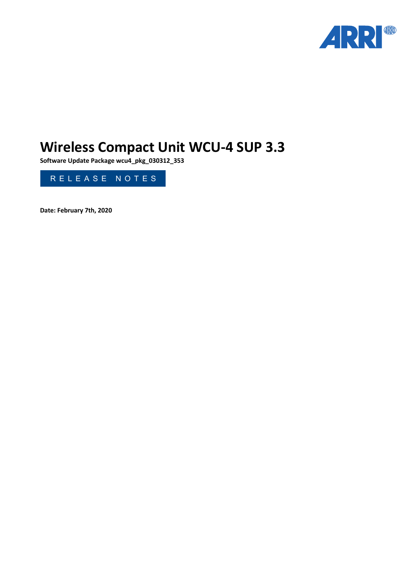

# **Wireless Compact Unit WCU-4 SUP 3.3**

**Software Update Package wcu4\_pkg\_030312\_353**



**Date: February 7th, 2020**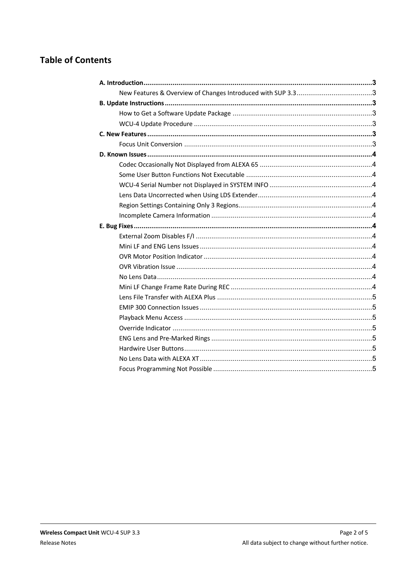# **Table of Contents**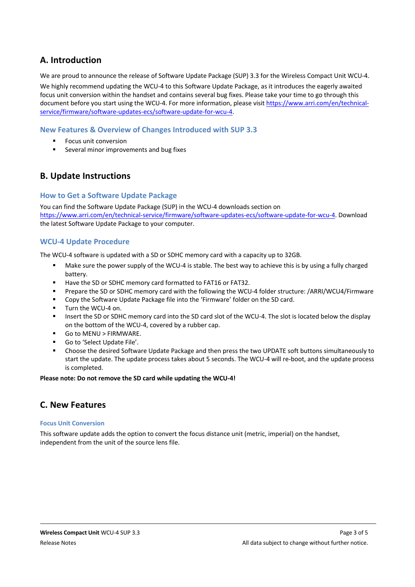# <span id="page-2-0"></span>**A. Introduction**

We are proud to announce the release of Software Update Package (SUP) 3.3 for the Wireless Compact Unit WCU-4.

We highly recommend updating the WCU-4 to this Software Update Package, as it introduces the eagerly awaited focus unit conversion within the handset and contains several bug fixes. Please take your time to go through this document before you start using the WCU-4. For more information, please visit https://www.arri.com/en/technicalservice/firmware/software-updates-ecs/software-update-for-wcu-4.

# **New Features & Overview of Changes Introduced with SUP 3.3**

- <span id="page-2-1"></span>§ Focus unit conversion
- <span id="page-2-3"></span><span id="page-2-2"></span>■ Several minor improvements and bug fixes

# **B. Update Instructions**

## **How to Get a Software Update Package**

You can find the Software Update Package (SUP) in the WCU-4 downloads section on <https://www.arri.com/en/technical-service/firmware/software-updates-ecs/software-update-for-wcu-4>. Download the latest Software Update Package to your computer.

## **WCU-4 Update Procedure**

The WCU-4 software is updated with a SD or SDHC memory card with a capacity up to 32GB.

- <span id="page-2-4"></span>■ Make sure the power supply of the WCU-4 is stable. The best way to achieve this is by using a fully charged battery.
- Have the SD or SDHC memory card formatted to FAT16 or FAT32.
- Prepare the SD or SDHC memory card with the following the WCU-4 folder structure: /ARRI/WCU4/Firmware
- § Copy the Software Update Package file into the 'Firmware' folder on the SD card.
- § Turn the WCU-4 on.
- Insert the SD or SDHC memory card into the SD card slot of the WCU-4. The slot is located below the display on the bottom of the WCU-4, covered by a rubber cap.
- § Go to MENU > FIRMWARE.
- Go to 'Select Update File'.
- § Choose the desired Software Update Package and then press the two UPDATE soft buttons simultaneously to start the update. The update process takes about 5 seconds. The WCU-4 will re-boot, and the update process is completed.

## **Please note: Do not remove the SD card while updating the WCU-4!**

# <span id="page-2-5"></span>**C. New Features**

## <span id="page-2-6"></span>**Focus Unit Conversion**

This software update adds the option to convert the focus distance unit (metric, imperial) on the handset, independent from the unit of the source lens file.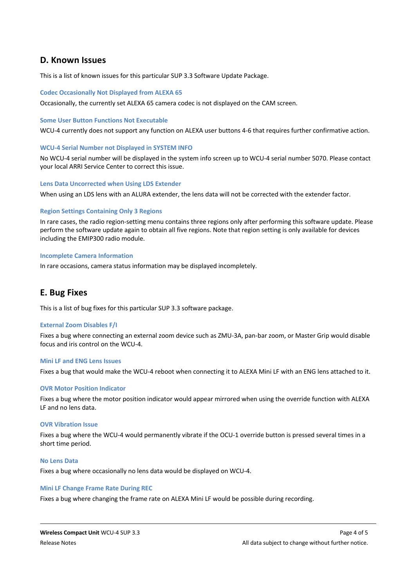# <span id="page-3-0"></span>**D. Known Issues**

This is a list of known issues for this particular SUP 3.3 Software Update Package.

### <span id="page-3-1"></span>**Codec Occasionally Not Displayed from ALEXA 65**

Occasionally, the currently set ALEXA 65 camera codec is not displayed on the CAM screen.

### <span id="page-3-2"></span>**Some User Button Functions Not Executable**

WCU-4 currently does not support any function on ALEXA user buttons 4-6 that requires further confirmative action.

### <span id="page-3-3"></span>**WCU-4 Serial Number not Displayed in SYSTEM INFO**

No WCU-4 serial number will be displayed in the system info screen up to WCU-4 serial number 5070. Please contact your local ARRI Service Center to correct this issue.

### <span id="page-3-4"></span>**Lens Data Uncorrected when Using LDS Extender**

When using an LDS lens with an ALURA extender, the lens data will not be corrected with the extender factor.

### <span id="page-3-5"></span>**Region Settings Containing Only 3 Regions**

In rare cases, the radio region-setting menu contains three regions only after performing this software update. Please perform the software update again to obtain all five regions. Note that region setting is only available for devices including the EMIP300 radio module.

### <span id="page-3-6"></span>**Incomplete Camera Information**

In rare occasions, camera status information may be displayed incompletely.

# <span id="page-3-7"></span>**E. Bug Fixes**

This is a list of bug fixes for this particular SUP 3.3 software package.

### <span id="page-3-8"></span>**External Zoom Disables F/I**

Fixes a bug where connecting an external zoom device such as ZMU-3A, pan-bar zoom, or Master Grip would disable focus and iris control on the WCU-4.

### <span id="page-3-9"></span>**Mini LF and ENG Lens Issues**

Fixes a bug that would make the WCU-4 reboot when connecting it to ALEXA Mini LF with an ENG lens attached to it.

### <span id="page-3-10"></span>**OVR Motor Position Indicator**

Fixes a bug where the motor position indicator would appear mirrored when using the override function with ALEXA LF and no lens data.

### <span id="page-3-11"></span>**OVR Vibration Issue**

Fixes a bug where the WCU-4 would permanently vibrate if the OCU-1 override button is pressed several times in a short time period.

### <span id="page-3-12"></span>**No Lens Data**

Fixes a bug where occasionally no lens data would be displayed on WCU-4.

### <span id="page-3-13"></span>**Mini LF Change Frame Rate During REC**

Fixes a bug where changing the frame rate on ALEXA Mini LF would be possible during recording.